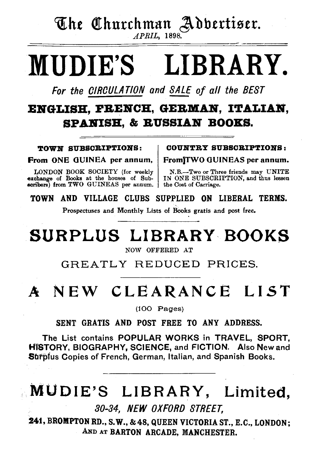The Churchman Adbertiser.  $APRIL$ , 1898.

**MUDIE'S** LIBRARY.

For the CIRCULATION and SALE of all the BEST

## ENGLISH, PRENCH, GERMAN, ITALIAN. **SPANISH, & RUSSIAN BOOKS.**

TOWN SUBSCRIPTIONS:

From ONE GUINEA per annum,

LONDON BOOK SOCIETY (for weekly exchange of Books at the houses of Subscribers) from TWO GUINEAS per annum. **COUNTRY SUBSCRIPTIONS:** 

From TWO GUINEAS per annum.

N.B.-Two or Three friends may UNITE IN ONE SUBSCRIPTION, and thus lessen the Cost of Carriage.

TOWN AND VILLAGE CLUBS SUPPLIED ON LIBERAL TERMS.

Prospectuses and Monthly Lists of Books gratis and post free.

# SURPLUS LIBRARY BOOKS

NOW OFFERED AT

GREATLY REDUCED PRICES.

# A NEW CLEARANCE LIST

 $(100$  Pages)

SENT GRATIS AND POST FREE TO ANY ADDRESS.

The List contains POPULAR WORKS in TRAVEL, SPORT, HISTORY, BIOGRAPHY, SCIENCE, and FICTION. Also New and Surplus Copies of French, German, Italian, and Spanish Books.

# MUDIE'S LIBRARY, Limited,

30-34, NEW OXFORD STREET.

241, BROMPTON RD., S.W., & 48, QUEEN VICTORIA ST., E.C., LONDON; AND AT BARTON ARCADE. MANCHESTER.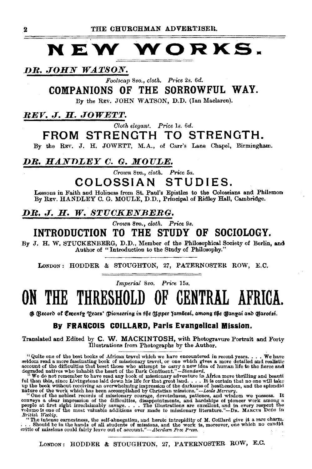### VORKS. N E W

DR. JOHN WATSON.

Foolscap 8vo., cloth. Price 2s. 6d.

COMPANIONS OF THE SORROWFUL WAY.

By the REV. JOHN WATSON, D.D. (Ian Maclaren).

REV. J. H. JOWETT.

Cloth elegant. Price 1s. 6d.

## FROM STRENGTH TO STRENGTH.

By the REV. J. H. JOWETT, M.A., of Carr's Lane Chapel, Birmingham.

### DR. HANDLEY C. G. MOULE.

Crown 8vo., cloth. Price 5s.

### COLOSSIAN STUDIES.

Lessons in Faith and Holiness from St. Paul's Epistles to the Colossians and Philemon By REV. HANDLEY C. G. MOULE, D.D., Principal of Ridley Hall, Cambridge.

### DR. J. H. W. STUCKENBERG.

Crown 8vo., cloth. Price 9s.

### INTRODUCTION TO THE STUDY OF SOCIOLOGY.

By J. H. W. STUCKENBERG, D.D., Member of the Philosophical Society of Berlin, and Author of "Introduction to the Study of Philosophy."

LONDON: HODDER & STOUGHTON, 27, PATERNOSTER ROW, E.C.

Imperial 8vo. Price 15s.

### THE K GENTRAL AFRIC

@ (Record of Ementy 'Qears' (Pioneering in the (Ypper Jambesi, among the Ganyai and Garotsi.

### By FRANCOIS COILLARD, Paris Evangelical Mission.

Translated and Edited by C. W. MACKINTOSH, with Photogravure Portrait and Forty Illustrations from Photographs by the Author.

" Quite one of the best books of African travel which we have encountered in recent years.. We have

"Quite one of the best books of African travel which we have encountered in recont years.... We have selocount of the diffeculties that beset those who attempt to carry a new idea of huran life to the deresand active acco

by the intense care that the same of the self-abnegation, and herote intrepidity of M. Coillard give it a rare charm.<br>
"The intense carnestness, the self-abnegation, and herote intrepidity of M. Coillard give it a rare cha

LONDON: HODDER & STOUGHTON, 27, PATERNOSTER ROW, E.C.

 $\mathbf 2$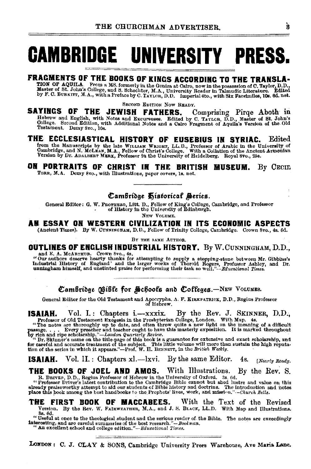# **CAMBRIDGE UNIVERSITY PRESS.**

## FRACMENTS OF THE BOOKS OF KINGS ACCORDING TO THE TRANSLA-

TION OF AQUILA. From a MS. formerly at a statement of the possession of C, Taylor, D. Master of St. John's College, and S. Schechter, M.A., University Reader in Talmudic Literature. Edited<br>by F. G. BURKITT, M.A., with a Pr

SECOND EDITION NOW READY.

SAYINGS OF THE JEWISH FATHERS. Comprising Pirqe Aboth in Hebrew and English, with Notes and Excursuses. Edited by C. Tart.cn, D.D., Master of St. John's College. Second Edition, with Additional Notes and a Cairo Fragment of Aquila's Version of the Old Testament, Demy 8vo., 10s.

### THE ECCLESIASTICAL HISTORY OF EUSEBIUS IN SYRIAC. **Edited** from the Manuscripts by the late WELGLAM WEIGHT, LL.D., Professor of Arabic in the University of Cambridge, and N. McLEAN, M.A., Fellow of Christ's College. With a Collation of the Ancient Armenian Version by Dr. ADALBERT

#### ON PORTRAITS OF CHRIST IN THE BRITISH MUSEUM. By CECIL

TORR, M.A. Demy 8vo., with Illustrations, paper covers, ls. net.

### Cambridge Historical Series.

General Editor: G. W. PROTHERO, Litt. D., Fellow of King's College, Cambridge, and Professor of History in the University of Edinburgh.

**New Volume** 

### AN ESSAY ON WESTERN CIVILIZATION IN ITS ECONOMIC ASPECTS

(Ancient Times). By W. CUNNINGHAM, D.D., Fellow of Trinity College, Cambridge. Crown 8vo., 4s. 6d.

BY THE SAME AUTHOR.

### **OUTLINES OF ENGLISH INDUSTRIAL HISTORY, By W.CUNNINGHAM, D.D.,**

and E. A. McARTHUR. Crown Sto., 48.<br>
"Our authors description of a subsequent parameter and E. A. McARTHUR. Crown Sto., 48.<br>
"Our authors descript thanks for attempting a subsequent parameter as a method of the larger work

Cambridge Bible for Schools and Colleges. - NEW VOLUMES.

General Editor for the Old Testament and Apocrypha, A. F. KIRKPATRICK, D.D., Regius Professor of Hebrew.

**ISAIAH.** Vol. I.: Chapters  $i$ .---xxxix. By the Rev. J. SKINNER, D.D., Professor of Old Testament Exegesis in the Presbyterian College, London. With Map. 4s. "The notes are thoroughly up to date, and often throw quite a

ISAIAH. Vol. II.: Chapters xl.-lxvi. By the same Editor. 48. [Nearly Ready.

With Illustrations. THE BOOKS OF JOEL AND AMOS. By the Rev. S. R. DRIVER, D.D., Regius Professor of Hebrew in the University of Oxford. 3s. 6d.

A. DRIVER'S LIGHT AND THE CONDUCT WAS THE CONDUCT TO THE CONDUCT THAT IS THE CONDUCT TO THE CONDUCT THAT IS THE CONDUCT THAT IS A THE CONDUCT THAT AND THE CONDUCT THAT IS ALLOW THAT IS A THE CONDUCT THAT IS A THE CONDUCT T

**THE FIRST BOOK OF MACCABEES.** With the Text of the Revised Version. By the Rev. W. FAIRWEATHER, M.A., and J. S. BLACK, LL.D. With Map and Illustrations. 8s. 6d.

os, ou.<br> **Therefore the theological student and the serious reader of the Bible.** The notes are exceedingly<br> **Interesting and are careful summarizes of the best research.**<br>  $\mu - BooLman$ . An excellent school and college edition."-Bducational Times.

LONDON: C. J. CLAY & SONS, Cambridge University Press Warehouse, Ave Maria Lane.

À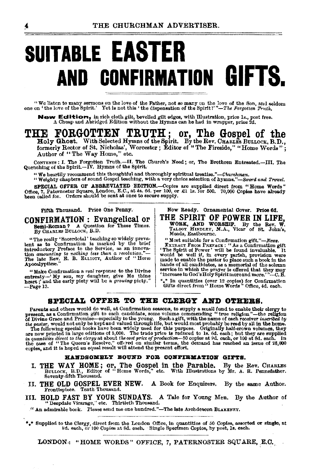# **SUITABLE EASTER** AND CONFIRMATION GIFTS.

"We listen to many sermons on the love of the Father, not so many on the love of the Son, and seldom<br>one on 'the love of the Spirit.' Yet is not this 'the dispensation of the Spirit?'"-The Forgotten Truth.

New Edition, in rich cloth gilt, bevelled gilt edges, with Illustration, price 1s., post free.<br>A Cheap and Abridged Edition without the Hymns can be had in wrapper, price 2d.

## THE FORGOTTEN TRUTH;

**TE FORGOTTEN TRUTH**; or, The Gospel of the Holy Ghost. With Selected Hymns of the Spirit. By the Rev. CHARLES BULLOCK, B.D., formerly Rector of St. Nicholas', Worcester; Editor of "The Fireside," "Home Words"; Author of "The Way Home," etc.

CONTENTS: I. The Forgotten Truth.-II. The Church's Need; or, The Brethren Entreated.--III. The Quenching of the Spirit.--IV. Hymns of the Spirit.

"We heartily recommend this thoughtful and thoroughly spiritual treatise."-Churchman.<br>"Weighty chapters of sound Gospel teaching, with a very choice selection of hymne."-Sword and Trovel.

SPECIAL OFFER OF ABBREVIATED EDITION. Copies are supplied direct from "Home Words"<br>Office, 7, Paternoster Square, London, E.C., at 4s. 6d. per 100, or £1 ls. for 500. 70,000 Copies have already<br>been called for. Orders shou

#### Fifth Thousand. Price One Penny.

**CONFIRMATION**: Evangelical or Semi-Roman? A Question for These Times. By CHARLES BULLOCK, B.D.

"The really 'Sacerdotal' teaching so widely preva-<br>lent as to Confirmation is marked by the brief tent as a communication from the field of the control introductory Preface to the Service, as an innovation momention momentum of the Rev. E. B. ELLIOTT, Author of "Horse Association." Apocalyptice.

"Make Confirmation a real response to the Divine<br>entreaty--'My son, my daughter, give Me thine<br>heart; and the early piety will be a growing piety." -Page 13.

Now Ready. Ornamental Cover. Price 6d. THE SPIRIT OF POWER IN LIFE. WORK, AND WORSHIP. By the Rev. W. TALBOT HINDLEY, M.A., Vicar of St. John's, Meads, Eastbourne.

<sup>*m*</sup> axes assocution.<br>
"Most suitable for a Confirmation gift."—*Nees.*<br>
"Most suitable for a Confirmation gift "The Spirit of Power "will be found invaluable. It<br>
"We shall be well if, in every parish, provision were<br>
m

\*\* In quantities (over 12 copies) for Confirmation<br>Gifts direct from "Home Words " Office, 4d. each.

### SPECIAL OFFER TO THE CLERGY AND OTHERS.

**Parents and others would do well, at Confirmation seasons, to supply a small fund to enable their clergy to<br>present, as a Confirmation gift to each candidate, some volume commending " true religion "—the religion<br>of Divi** coptes, and it is hoped an equal result will attend the present effort.

#### HANDSOMELY BOUND FOR CONFIRMATION GIFTS.

- I. THE WAY HOME; or, The Gospel in the Parable. By the Rev. CHARLES BULLOCK, B.D., Editor of "Home Words," etc. With Illustrations by Mr. A. R. Pennefather.<br>Seventy-fifth Thousand.
- II. THE OLD GOSPEL EVER NEW. A Book for Enquirers. By the same Author. Frontispiece. Tenth Thousand.
- III. HOLD FAST BY YOUR SUNDAYS. A Tale for Young Men. By the Author of "Deepdale Vicarage," etc. Thirtieth Thousand.

" An admirable book. Please send me one hundred."-The late Archdeacon BLAKENEY.

Expedied to the Clergy, direct from the London Office, in quantities of 50 Copies, assorted or single, at  $y_d$ . each, or 100 Copies at 8d. each. Single Specimen Copies, by post, 1s, each.

LONDON: "HOME WORDS" OFFICE, 7, PATERNOSTER SQUARE, E.C.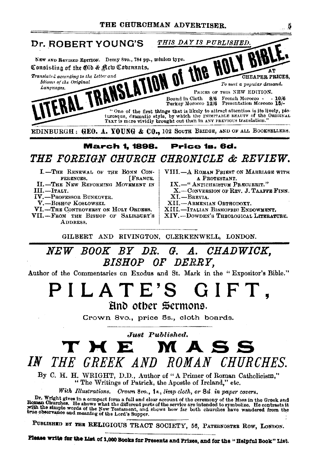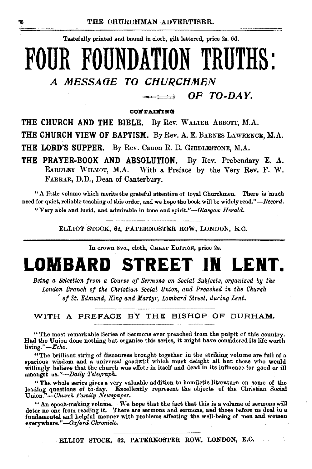Tastefully printed and bound in cloth, gilt lettered, price 2s. 6d.

# **FOUR FOUNDATION TRUTHS:**  A MESSAGE TO CHURCHMEN

OF TO-DAY.  $\Rightarrow$ 

 $0.0$ NTAINING

THE CHURCH AND THE BIBLE. By Rev. WALTER ABBOTT, M.A.

THE CHURCH VIEW OF BAPTISM. By Rev. A. E. BARNES LAWRENCE, M.A.

THE LORD'S SUPPER. By Rev. Canon R. B. GIRDLESTONE, M.A.

THE PRAYER-BOOK AND ABSOLUTION. By Rev. Prebendary E. A. EARDLEY WILMOT, M.A. With a Preface by the Very Rev. F. W. FARRAR, D.D., Dean of Canterbury.

"A little volume which merits the grateful attention of loyal Churchmen. There is much need for quiet, reliable teaching of this order, and we hope the book will be widely read.'' *-Record.* 

"Very able and lucid, and admirable in tone and *spirit."-Glasgow Herald.* 

ELLIOT STOCK, 62, PATERNOSTER ROW, LONDON, E.C.

In crown Svo., cloth, CHEAP EDITION, price 2s,

# **LOMBARD STREET IN LENT.**

*Being a Selection from a Course of Sermons on Social Subjects, organized by the London Branch of the Christian Social Union, and Preached in the Church*  of St. Edmund, King and Martyr, Lombard Street, during Lent.

WITH A PREFACE BY THE BISHOP OF DURHAM.

" The most remarkable Series of Sermons ever preached from the pulpit of this country. Had the Union done nothing but organise this series, it might have considered its life worth living."-Echo.

"The brilliant string of discourses brought together in the striking volume are full of a spacious wisdom and a universal goodwill which must delight all hut those who would willingly believe that the church was effete in itself and dead in its influence for good or ill amongst us. "~Daily *'l'elegraph.* 

"The whole series gives a very valuable addition to homiletic literature on some of the leading questions of to·day. Excellently represent the objects of the Christian Social Union."-Ohurch *Family Newrpaper.* 

"An epoch-making volume. \Ve hope that the fact that this is a volume of sermons will deter no one from reading it. There are sermons and sermons, and those before us deal in a fundamental and helpful manner with problems affecting the well-being of men and women everywhere."-Oxford Chronicle.

ELLIOT STOCK, 62, PATERNOSTER ROW, LONDON, E.O.

Ŧ.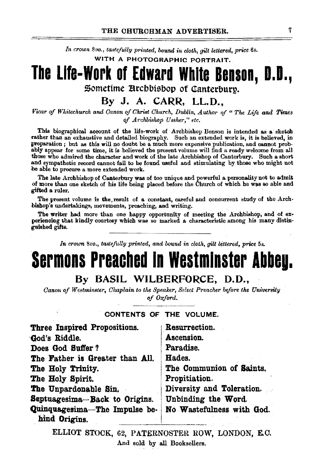In crown 8vo., *tastefully printed, bound in cloth, gilt lettered, price* 6s. WITH A PHOTOGRAPHIC PORTRAIT.

## **The Life-Work of Edward White Benson, D.O.,**  Sometime Arcbbisbop of Canterbury.

### By J. A. CARR, LL.D.,

*Vicar of Whitechurch and Canon of Christ Ohurch, Dublin, Author of* " *The Life and Times of Archbishop Ussher," etc.* 

This biographical acoount of the life-work of Archbishop Benson is intended as a· sketch rather than an exhaustive and detailed biography. Such an extended work is, it is believed, in preparation ; but as this will no doubt be a much more expensive publication, and cannot probably appear for some time, it is believed the present volume will find a ready welcome from all those who admired the character and work of the late Archbishop of Canterbury. Such a short and sympathetic reoord cannot fail to be found useful and stimulating by those who might not be able to procure a more extended work.

The late Archbishop of Canterbury was of too unique and powerful a personality not to admit of more than one sketch of his life being placed before the Church of which be was so able and gifted a ruler.

The present volume is the result of a constant, careful and concurrent study of the Archbishop's undertakings, movements, preaching, and writing.

The writer had more than one happy opportunity of meeting the Archbishop, and of ex-<br>periencing that kindly courtesy which was so marked a characteristic among his many distinguished gifts.

*In crown 8vo., ta&efully printed, and bound in cloth,* gilt *lettered, price* 5s.

# **Sermons Preached In Westminster Abbeg.**

### By BASIL WILBERFORCE, D.D.,

*Canon of Westminster, Ohaplain to the Speaker, Select Preacher bifore the University of Oxford.* 

### CONTENTS OF THE VOLUME.

| Three Inspired Propositions.                   | Resurrection.             |
|------------------------------------------------|---------------------------|
| God's Riddle.                                  | Ascension.                |
| Does God Suffer?                               | Paradise.                 |
| The Father is Greater than All.                | Hades.                    |
| The Holy Trinity.                              | The Communion of Saints.  |
| The Holy Spirit.                               | Propitiation.             |
| The Unpardonable Sin.                          | Diversity and Toleration. |
| Septuagesima-Back to Origins.                  | Unbinding the Word.       |
| Quinquagesima-The Impulse be-<br>hind Origins. | No Wastefulness with God. |

ELLIOT STOCK, 62, PATERNOSTER ROW, LONDON, E.C. And sold by all Booksellers.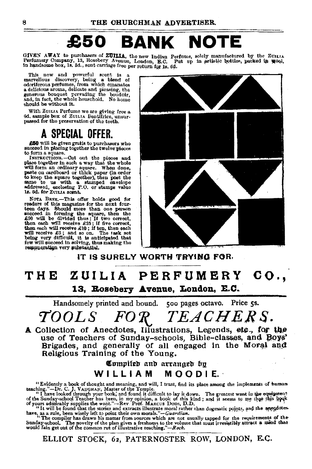# £50 **BANK NOTE**

GIVEN AWAY to purchasers of ZUILIA, the new Indian Perfume, solely manufactured by the ZUILIA Perfumery Company, 13, Rosebery Avenue, London, B.C. Put up in artistic bottles, packed in wood,<br>in handsome box, 1s. 8d., sent carriage free per return for 1s. 6d.

This new and powerful scent is a marvellous discovery, being a blend of odorlierous perfumes, from which emanates odoriferous perfumes, from which emanates a delicious aroma, delicate and pleasing, the generous bouquet pervading the boudoir, and, In fact, the whole household. No home should be without it.

With ZUILTA Perfume we are giving free a<br>6d. sample box of ZUILIA Dentifrice, unsur-<br>passed for the preservation of the teeth.

## A SPECIAL OFFER.

£50 will be given gratis to purchasers who succeed in placing together the twelve pieces

succeed in placing together the twelve pieces<br>to form a square.<br>INSTRUCTIONS. -Cut out the pieces and<br>place together in such a way that the whole will form an ordinary square. When done, paste on cardboard or thick paper (in order post the same to us with a stamped envelope addressed, encloeing P.O. or stamps value<br>1s. 6d. for ZuILIA scant.

NOTA BENE.--This offer holds good for<br>readers of this magazine for the next four-<br>teen days. Should more than one person succeed in forming the square, then the  $£50$  will be divided thus : If two correct, then each will receive  $£25$ ; if five correct, then each will receive £10; if ten, then each will receive  $E_5$ ; and so on. The task set being very difficult, it is anticipated that few will succeed in solving, thus making the remuneration very substantial.



IT IS SURELY WORTH TRYING FOR.

# THE ZUILIA PERFUMERY CO., 13, Rosebery Avenue, London, E.C.

Handsomely printed and bound. 500 pages octavo. Price 5s.

 $\mathcal{T} OOLS$  *FOR TEACHERS.* 

A Collection of Anecdotes, Illustrations, Legends, etc., for the use of Teachers of Sunday-schools, Bible-classes, and Boys' Brigades, and generally of all engaged in the Moral and Religious Training of the Young.

### Compiled and arranged by WILLIAM MOODIE.

''Evidently a book of thought and meaning, and will, I trust, find its place among the implements of huma•• teaching." --Dr. C. J. VAUGHAN, Master of the Temple.<br>"I have looked through your book, and found it difficult to lay it down. The greatest want in the equipment."

of the Sunday-school Teacher has been, in my opinion, a book of this kind; and it seems to me that this hock-<br>of yours admirably supplies the want."—Rev. Prof. Makcus Dons, D.D.<br>"It will be found that the stories and extra

have, as a rule, been wisely left to point their own morals."—Guardian.<br>"The compiler has drawn his matter from sources which are not usually tapped for the requirements of the<br>Sunday-school, The novelty of the plane aires

ELLIOT STOCK, 62, PATERNOSTER ROW, LONDON, E.C.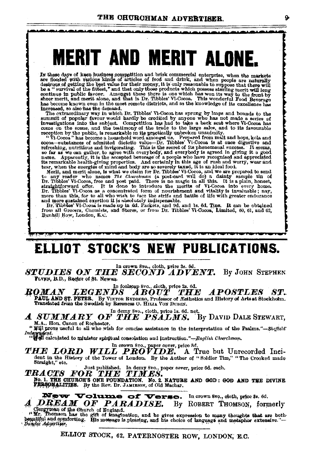# **MERIT AND MERIT ALONE.**

In these days of keen business competition and brisk commercial enterprise, when the markets<br>are flooded with various kinds of articles of food and drink, and when people are naturally<br>desirous of getting the best value fo has become known even in the most remote districts, and as the knowledge of its excellence has increased, so also has the demand.

mereases, so asso nas ave unemand. The extraordinary way in which Dr. Tibbles' Vi-Cocoa has sprung by leaps and bounds to the summit of popular favour would hardly be credited by anyone who has not made a series of inwesti

come on the scene, and the testimony of the trade to the large sales, and to its favourable<br>reception by the public, is remarkable m its practically unbready manimum int and hops, kola and<br>cocoa—substances of admitted die

ment, am ment alone, is what we cann for Dr. Tibbles Vi-Coos, and we are prepared to separate the only reader who names The Churchman (a post-card will do) a dainty sample in of Dr. Tibbles' Vi-Coosa, free and post paid. T

more man anta, for we all who wish to thee the strite and tattle of the with greater endurance<br>and more sustained exertion it is shootlicely indispensable.<br>In: This and the properties of the strike in the strike of the str Bunhill Row, London, E.C.

# ELLIOT STOCK'S NEW PUBLICATIONS.

### In crown 8vo., cloth, price 3s. 6d.

**STUDIES ON THE SECOND ADVENT.** By JOHN STEPHEN. FLYNN, B.D., Rector of St. Newsn.

 $\boldsymbol{RQMAN} \quad \boldsymbol{LEGENDS} \quad \boldsymbol{ABOOUT} \quad \boldsymbol{THEOUT} \quad \boldsymbol{THEO} \quad \boldsymbol{BMOUT} \quad \boldsymbol{THEO}$ **APOSTLES** 8T. PAUL AND ST. PETER. By VIRTOR RYDBERG, Professor of Asthetics and History of Arts at Stockholm. Translated from the Swedish by Baroness O. HILIA VON DUBEN.

#### In demy 8vo., cloth, price 1s. 6d. net. **A SUMMARY OF THE PSALMS.** By DAVID DALE STEWART, M.A., Hon, Canon of Rochester.

"Will prove useful to all who wish for concise assistance in the interpretation of the Psalms."-Sheffield Independent. The contract of minister spiritual consolation and instruction."-Baglish Churchman.

In crown 8vo., paper cover, price 8d.

THE LORD WILL PROVIDE. A True but Unrecorded Incident in the History of the Tower of London. By the Author of "Soldier Tim," "The Crooked made Straight," etc.

Just published. In demy 8vo., paper cover, price 6d. each.<br>
TRACTS FOR THE TIMES.

NO. 1. THE CHURCH'S ONE FOUNDATION. No. 2 NATURE AND GOD: GOD AND THE DIVINE.<br>FERSONALITIES. By the Rev. Dr. JAMIESON, of Old Machar.

New Volume of Verse. In crown 8vo., doth, price 8s. 6d.<br>A DREAM OF PARADISE. By ROBERT THOMSON, formerly Clergyman of the Church of England. "Mr.

"Mr. Thomson has the gift of imagination, and he gives expression to many thoughts that are both-<br>requiting and comforting. His mossage is pleasing, and his choice of language and metaphor extensive."-Denne Advertiser.

ELLIOT STOCK, 62, PATERNOSTER ROW, LONDON, E.C.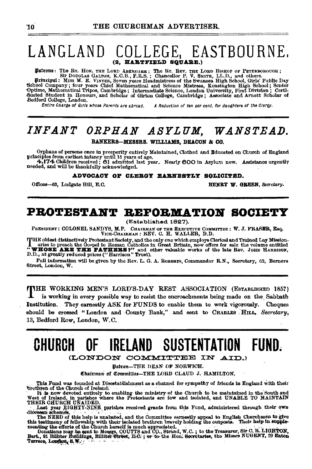#### EASTBOURNE. LANGLAND COLLEG (2. HARTFIELD SOUARE.)

Datrons: The Rr. How. THE LORD ABERDARE; The Rr. REV. THE LORD BISHOP OF PETERBOROUGH;<br>Sir DOUGLAS GALTON, K.C.B., F.R.S.; Chancellor P. V. SMITH, LL.D., and others.<br>Drincipal: Miss M. E. VINTER, Seven years Headmistress o Franchine Company; four years Chief Mathematical and Science Mistress, Kensington High School; Senior Optime, Mathematical Tripos, Cambridge; Intermediate Science Mistress, Kensington High School; Senior Optime, Mathematic Bedford College, London.

Entire Charge of Girls whose Parents are abroad. A Reduction of ten per cent. for daughters of the Clergy.

# INFANT ORPHAN ASYLUM, WANSTEAD.

BANKERS-MESSRS. WILLIAMS, DEACON & CO.

Orphans of persons once in prosperity entirely Maintained, Clothed and Educated on Church of England principles from earliest infancy until 15 years of age.<br>4.174 Children received; 61 admitted last year. Nearly 600 in Asy

needed, and will be thankfully acknowledged.

ADVOCACY OF CLERGY EARNESTLY SOLICITED.

Offices-63, Ludgate Hill, E.C.

HENRY W. GREEN, Secretary.

### PROTESTANT REFORMATION SOCIETY

(Established 1827).

PRESIDENT: COLONEL SANDYS, M.P. CHAIRMAN OF THE EXECUTIVE COMMITTEE: W. J. FRASER, Esq. VICE-CHAIRMAN : REV. C. H. WALLER, D.D.

THE oldest distinctively Protestant Society, and the only one which employs Clerical and Trained Lay Mission-<br> **THE SERE THE FATERS** of the doopel to a communicate in Great Britain, now offers for sale the volume entitled<br>

Full information will be given by the Rev. L. G. A. ROBERTS, Commander R.N., Secretary, 62, Berners Street, London, W.

THE WORKING MEN'S LORD'S-DAY REST ASSOCIATION (ESTABLISHED 1857) is working in every possible way to resist the encroachments being made on the Sabbath Institution. They earnestly ASK for FUNDS to enable them to work vigorously. Cheques should be crossed "London and County Bank," and sent to CHARLES HILL, Secretary, 13, Bedford Row, London, W.C.

#### CHURCH 0E. IRELAND SUSTENTATION FUND.

(LONDON COMMITTEE IN AID.)

Batron-THE DEAN OF NORWICH.

Chairman of Committer-THE LORD CLAUD J. HAMILTON.

This Fund was founded at Disestablishment as a channel for sympathy of friends in England with their brethren of the Church of Ireland,

It is now devoted entirely to enabling the ministry of the Church to be maintained in the South and West of Ireland, in parishes where the Protestants are few and isolated, and UNABLE TO MAINTAIN<br>THEIR CHURCH UNAUDED.

Last year EIGHTY-NINE parishes received grants from this Fund, administered through their own diocessar schemes.

drocesser screenes.<br>The NEED of this help is unabated, and the Committee earnestly appeal to English Churchmen to give<br>this testimony of fellowship with their isolated brethren bravely holding the outposts. Their help in s

Terrace, London, S.W.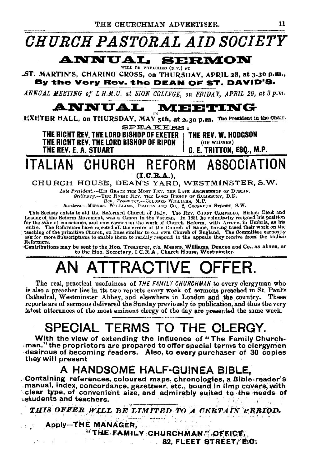

#### **ANNUAL SERMON** WILL BE PREACHED (D.V.) AT

.ST. MARTIN'S, CHARING CROSS, on THURSDAY, APRIL 28, at 3.30 p.m., By the Very Rev. the DEAN OF ST. DAVID'S.

ANNUAL MEETING of L.H.M.U. at SION COLLEGE, on FRIDAY, APRIL 29, at 3 p.m.

### **MEETING** ANNUAL.

EXETER HALL, on THURSDAY, MAY 5th, at 2.30 p.m. The President in the Chair. SPEAKERS-

THE RIGHT REV. THE LORD BISHOP OF EXETER THE RICHT REV. THE LORD BISHOP OF RIPON THE REV. E. A. STUART

THE REV. W. HODGSON (OF WIDNES)

C. E. TRITTON. ESO., M.P.

#### **ITAI IAN** CHURCH REFORM ASSOCIATION  $(I.C.R.A.).$

### CHURCH HOUSE, DEAN'S YARD, WESTMINSTER, S.W.

Late President. -- HIS GRACE THE MOST REV. THE LATE ARCHEISHOP OF DUBLIN.

Bankers.-MESSRS. WILLIAMS, DEACON AND CO., 2, COCKSPUR STREET, S.W.

This Society exists to aid the Reformed Church of Italy. The REV. COUNT CAMPELLO, Bishop Elect and Leader of the Reform Movement, was a Canon in the Vatican. In 1881 he voluntarily resigned his position for the sake of con Reformers.

Contributions may be sent to the Hon. Treasurer, c/o. Messrs. Williams, Deacou and Co., as above, or<br>to the Hon. Secretary, I.C.R.A., Church House. Westminster.

# **ATTRACTIVE**

The real, practical usefulness of THE FAMILY CHURCHMAN to every clergyman who is also a preacher lies in its two reports every week of sermons preached in St. Paul's Cathedral, Westminster Abbey, and elsewhere in London and the country. These reports are of sermons delivered the Sunday previously to publication, and thus the very latest utterances of the most eminent clergy of the day are presented the same week.

# SPECIAL TERMS TO THE CLERGY.

With the view of extending the influence of "The Family Churchman," the proprietors are prepared to offer special terms to clergymen desirous of becoming readers. Also, to every purchaser of 30 copies they will present

## A HANDSOME HALF-GUINEA BIBLE.

Containing references, coloured maps, chronologies, a Bible-reader's manual, index, concordance, gazetteer, etc., bound in limp covers, with clear type, of convenient size, and admirably suited to the needs of students and teachers.

THIS OFFER WILL BE LIMITED TO A CERTAIN PERIOD.

Apply-THE MANAGER. "THE FAMILY CHURCHMAN " OFFICE. 82. FLEET STREET, BOX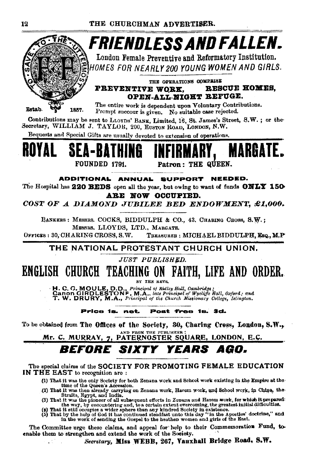

time of the Queen's Accession.<br>(2) That it was then already carrying on Zenana work, Harem work, and School work, in Chine, the<br>(3) That it was the pioneer of all subsequent efforts in Zenana and Harem work, for which it p

- 
- the way, by encountering and, to a certain extent overcoming, the greatest initial difficulties.<br>(a) That it still occupies a wider sphere than any kindred Society in existence.<br>(5) That by the help of God it has continued

The Committee urge these claims, and appeal for help to their Commemoration Fund, toenable them to strengthen and extend the work of the Society.

Secretary, Miss WEBB, 267, Vauxhall Bridge Road. S.W.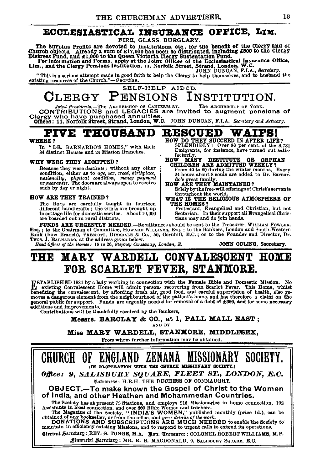### ECCLESIASTICAL INSUBANCE OFFICE, LIM.

### FIRE, GLASS, BURGLARY.

The Surplus Profits are devoted to Institutions, etc., for the benefit of the Clergy and of Church objects. Already a sum of £17,000 has been so distributed, including £500 to the Clergy Distress Fund, and £1,000 to the Q

"This is a serious attempt made in good faith to help the Clergy to help themselves, and to husband the existing resources of the Church." $-Guardian$ .

SELF-HELP AIDED. CLERGY PENSIONS INSTITUTION.<br>contributions and LEGACIES are invited to augment pensions of

Olergy who have purchased annuities.

Offices: 11, Norfolk Street, Strand, London, W.C. JOHN DUNCAN, F.I.A. *Secretary and Actuary.* 

# **FIVE THOUSAND RESCUED WAIFS!**

84 distinct Houses and 24 Mission Branches.

#### WHY WERE THEY ADMITTED?

Because they were *destitute:* without any other condition, either as to *age, .sex, creed, birthplace, 'nationality, physical condition, money payment* or *guarantee.* The doors are always open to receive such by day or night.

#### HOW ARE THEY TRAINED?

The Bovs are carefully taught in fourteen different handicrafts; the GIRLS are brought up different handicrafts; the GIRL's are brought up Frotestant, Evangelical and Christian, but not in the state of the School of the School of the School of the School of the School of the School of the School of the barden o

- HOW DO THEY SUCCEED IN AFTER LIFE?<br>SPLENDIDLY! Over 98 per cent. of the 8,731 In "DR. BARNARDO'S HOMES," with their SPLENDIDLY! Over 98 per cent. of the 8,731<br>84 distinct Houses and 24 Mission Branches Emigrants, for instance, have turned out satis-
	-

HOW MANY DESTITUTE OR ORPHAN CHILDREN ARE ADMITTED WEEKLY? From 40 to 60 during the winter months. Every 24 hours about 8 souls are added to Dr. Barnardo's great family.

HOW ARE THEY MAINTAINED?<br>Solely by the free-will offerings of Christ's servants Solely by the free-will offerings of Christ's servants<br>throughout the world.<br>WHAT IS THE RELIGIOUS ATMOSPHERE OF

FUNDS ARE URGENTLY NEEDED.-Remittances should be sent to the Treasurer, WILLIAM FOWLER. Esq.; to the Chairman of Committee, HowARD WILLIAMS, Esq.; to the Bankers, London and South-Western Bank (Bow Branch), Parsecorr, DIMEDALE & Co., 50, Cornhill, E.C.; or to the Founder and Director, Dr. Tros. J. BARNARDO, a

## THE MARY WARDELL CONVALESCENT HOME FOR SCARLET FEVER, STANMORE.

TSTABLISHED 1884 by a lady working in connection with the Female Bible and Domestic Mission. No<br>Let existing Convalescent Home will admit persons recovering from Scarlet Fever. This Home, whilst<br>benefiting the convalescent general public for support. Funds are urgently needed for removal of a debt of £600; and for some necessary additions and improvements.

Contributions will be thankfully received by the Bankers,

**Messrs. BARCLAY & CO., at 1, PALL MALL EAST;**  $\frac{1}{N}$ 

Miss MARY WARDELL, STANMORE, MIDDLESEX,

From whom further information mav be ohtained.

CHURCH OF ENGLAND ZENANA MISSIONARY SOCIETY. (IN CO-OPERATION WITH THE CHURCH MISSIONARY SOCIETY.) *Office: 9, SALISBURY SQUARE, FLEET ST., LONDON, E.C.* lJlatrontss: H.R.H. THE DUCHESS OF CONNAtJGHT. OBJECT.-To make known the Gospel of Christ to the Women of India, and other Heathen and Mohammedan Countries. The Society has at present 73 Stations, and employs 216 Missionaries in home connection, 102<br>Assistants in local connection, and over 600 Bible Women and teachers.<br>The Magazine of the Society, "INDIA'S WOMEN," published mo Clerical Secretary : REV. G. TONGE, M.A. - Bon. Treasurer : COLONEL ROBERT WILLIAMS, M.P. Jinancial Secretary: MR. R. G. MACDONALD, 9, SALISBURY SQUARE, E.C.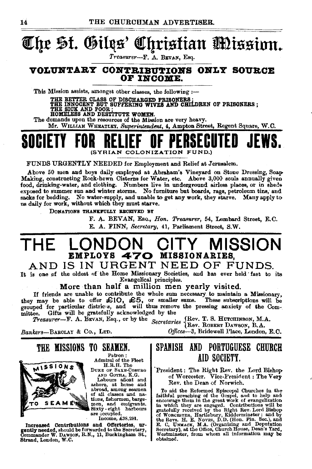# **@Cqr** ~f. **®ilits' Q!!qrisfian** Jmissinn~

*Treasurer-F.* A. BEVAN, Esq.

### **VOLUlfTABY CONTBIBUTIONS OlfLY SOURCE OP IlfCOME.**

This Mission assists, amongst other classes, the following  $:$ --

THE BETTER CLASS OF DISCHARGED PRISONERS ;<br>THE INNOCENT BUT SUFFERING WIVES AND CHILDREN OF PRISONERS ;<br>THE SICK AND POOR ;<br>HOMELESS AND DESTITUTE WOMEN.

The demands upon the resources of the Mission are very heavy.

Mr. WILLIAM WHEATLEY, Superintendent, 4, Ampton Street, Regent Square, W.C.

## **SOCIETY FOR RELIEF OF PERSECUTED JEWS.**  (SYRIAN COLONIZATION FUND.)

FUNDS URGENTLY NEEDED for Employment and Relief at Jerusalem.

Above 60 men and boys dajly employed at Abraham's Vineyard on Stone Dressing, SoaP' Making, constructing Rock-hewn Cisterns for Water, etc. Above 3,000 souls annually given food, drinking-water, and clothing. Numbers live in underground airless places, or in sheds exposed to summer sun and winter storms. No furniture but boards, rags, petroleum tins, and sacks for bedding. No water-supply, and unable to get any work, they starve. Many apply to us daily for work, without which they must starve.

DONATIONS THANKFULLY BROKIVED BY

F. A. BEVAN, EsQ., *Hoo. Treasurer,* 54, Lombard Street, E.C. E. A. FINN, *Secretary,* 41, Parliament Street. S.W.

## **THE LONDON CITY MISSION EMPLOYS 470 MISSIONARIES,**

### AND IS IN URGENT NEED OF FUNDS.

It is one of the oldest of the Home Missionary Societies, and has ever held fast to its Evangelical principles.

More than half a million men yearly visited.

If friends are unable to contribute the whole sum necessary to maintain a Missionary,<br>they may be able to offer  $\mathcal{L}10$ ,  $\mathcal{L}5$ , or smaller sums. These subscriptions will be<br>grouped for particular districts, and wil mittee. Gifts will be gratefully acknowledged by the

*Treasurer*—F. A. BEVAN, Esq., or by the *Secretaries* {Rev. T. S. HUTOHINBON, M.A. {Rev. ROBERT DAWSON, B.A.

Bankers-BARCLAY & Co., LTD. 0ffices-3, Bridewell Place, London, E.O.

THE MISSIONS TO SEAMEN.



Patron: Admiral of the Fleet H.R.H. The

DUKE OF SAXE-COBURG AND GOTHA, K.G.

Labours aficat and<br>
ashore, at home and<br>
abroad, among seamen<br>
of all classes and na-<br>
tions, fishermen, barge-<br>
men, and emigrants. men, and emigrants.<br>Sixty eight harbours<br>are occupied.

Income, £38,291,

Increased Contributions and Offertories, urgently needed, should be forwarded to the Secretary, Commander W. DAwson, R.N., 11, Buckingham St., Strand, London, W.C.

### SPANISH AND PORTUGUESE CHURCH AID SOCIETY.

President: The Right Rev. the Lord Bishop of Worcester. Vice-President: The Very Rev. the Dean of Norwich.

To aid the Reformed Episcopal Churches in the faithful preaching of the Gospel, and to help and encourage them in the great work of evangelization in which they are engaged. Contributions will be gratefully received by the Right Rev. Lord Bishop of WoRCESTER, Hartlebury, Kidderminster; and by the Revs. H. E. Novrss, D.D. (Hon. Fin. Sec.), and Deputation Secretary), at the Office, Church House, Dean's Yard, Westminster, from whom all information may be obtained.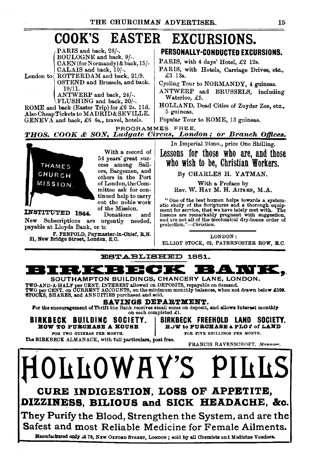# COOK'S EASTER EXCURSIONS.

PARIS and back, 26/-. BOULOGNE and back, 9/-. CAEN(forNormandy)&back,15/- CALAIS and back, 10/-.

London to  $\sqrt{\text{ROTFERDAM}}$  and back, 21/9. OSTEND and Brussels, and back, 19/11.

ANTWERP and back, 24/-. FLUSHING and back, 20/-.

ROME and back (Easter Trip) for £6 2•. lld. .Also Cheap Tickets to MADRID& SEVILLE.  $GENEVA$  and back, £6 6s., travel, hotels.

New Subscriptions are urgently needed,

F. PENFOLD, Paymaster-in-Chief, R.N.

PERSONALLY-CONDUCTED EXCURSIONS.

PARIS, with 4 days' Hotel, £2 12s.

PARIS, with Hotels, Carriage Drives, etc., £3 13s.

Cycling Tour to NORMANDY, 4 guineas.

ANTWERP and BRUSSELS, including Waterloo, £5.

HOLLAND, Dead Cities of Zuyder Zee, etc., 5 guineas .

Popular Tour to ROME, 13 guineas.

PROGRAMMES FREE.

With a record of

*SON,* Ludgate Circ1M, London ; *or* Branch *Ojftces.* 

In Imperial 24mo., price One Shilling.

Lessons for those who are, and thosa who wish to be, Christian Workers.

By CHARLES H. YATMAN.

With a Preface by Rev. W. HAY M. H. AITKEN, M.A.

" One of the best human helps towards a system- atic study of the Scriptures and a thorough equip- ment for service, that we have lately met with. The lessons are remarkably pregnant with suggestion, and are not all of the mechanical dry-bones order of prelection. *''-Christian.* 

LONDON:

ELLIOT STOCK, 62, PATERNOSTER ROW, E.C.

ESTABLISHED 1851.



Manufactured only at 78, NEW OXFORD STREET, LONDON; sold by all Chemists and Medicine Vendors.



payable at Lloyds Bank, or tc

31, New Bridge Street, London, E. C.